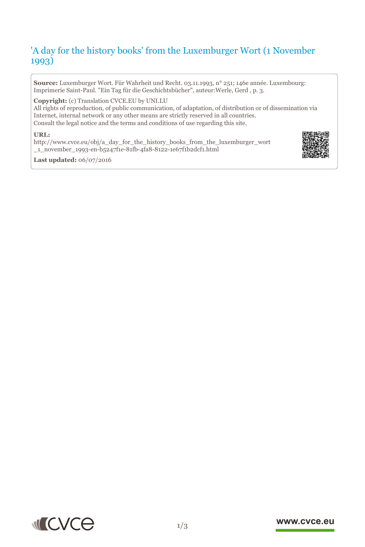# 'A day for the history books' from the Luxemburger Wort (1 November 1993)

**Source:** Luxemburger Wort. Für Wahrheit und Recht. 03.11.1993, n° 251; 146e année. Luxembourg: Imprimerie Saint-Paul. "Ein Tag für die Geschichtsbücher", auteur:Werle, Gerd , p. 3.

**Copyright:** (c) Translation CVCE.EU by UNI.LU

All rights of reproduction, of public communication, of adaptation, of distribution or of dissemination via Internet, internal network or any other means are strictly reserved in all countries. Consult the legal notice and the terms and conditions of use regarding this site.

#### **URL:**

http://www.cvce.eu/obj/a\_day\_for\_the\_history\_books\_from\_the\_luxemburger\_wort \_1\_[november\\_1993-en-b5247f1e-81fb-4fa8-8122-1e67f1b2dcf1.html](http://www.cvce.eu/obj/a_day_for_the_history_books_from_the_luxemburger_wort_1_november_1993-en-b5247f1e-81fb-4fa8-8122-1e67f1b2dcf1.html)



**Las[t updated:](http://www.cvce.eu/obj/a_day_for_the_history_books_from_the_luxemburger_wort_1_november_1993-en-b5247f1e-81fb-4fa8-8122-1e67f1b2dcf1.html)** 06/07/2016



#### www.cvce.eu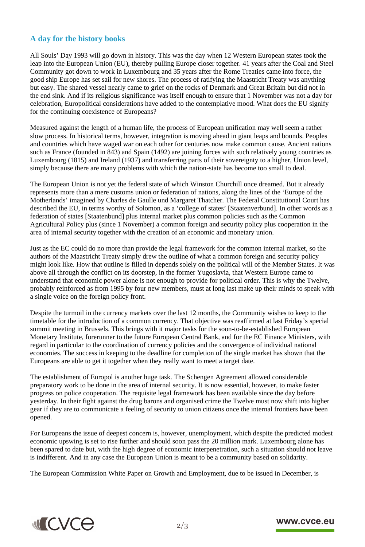### **A day for the history books**

All Souls' Day 1993 will go down in history. This was the day when 12 Western European states took the leap into the European Union (EU), thereby pulling Europe closer together. 41 years after the Coal and Steel Community got down to work in Luxembourg and 35 years after the Rome Treaties came into force, the good ship Europe has set sail for new shores. The process of ratifying the Maastricht Treaty was anything but easy. The shared vessel nearly came to grief on the rocks of Denmark and Great Britain but did not in the end sink. And if its religious significance was itself enough to ensure that 1 November was not a day for celebration, Europolitical considerations have added to the contemplative mood. What does the EU signify for the continuing coexistence of Europeans?

Measured against the length of a human life, the process of European unification may well seem a rather slow process. In historical terms, however, integration is moving ahead in giant leaps and bounds. Peoples and countries which have waged war on each other for centuries now make common cause. Ancient nations such as France (founded in 843) and Spain (1492) are joining forces with such relatively young countries as Luxembourg (1815) and Ireland (1937) and transferring parts of their sovereignty to a higher, Union level, simply because there are many problems with which the nation-state has become too small to deal.

The European Union is not yet the federal state of which Winston Churchill once dreamed. But it already represents more than a mere customs union or federation of nations, along the lines of the 'Europe of the Motherlands' imagined by Charles de Gaulle und Margaret Thatcher. The Federal Constitutional Court has described the EU, in terms worthy of Solomon, as a 'college of states' [Staatenverbund]. In other words as a federation of states [Staatenbund] plus internal market plus common policies such as the Common Agricultural Policy plus (since 1 November) a common foreign and security policy plus cooperation in the area of internal security together with the creation of an economic and monetary union.

Just as the EC could do no more than provide the legal framework for the common internal market, so the authors of the Maastricht Treaty simply drew the outline of what a common foreign and security policy might look like. How that outline is filled in depends solely on the political will of the Member States. It was above all through the conflict on its doorstep, in the former Yugoslavia, that Western Europe came to understand that economic power alone is not enough to provide for political order. This is why the Twelve, probably reinforced as from 1995 by four new members, must at long last make up their minds to speak with a single voice on the foreign policy front.

Despite the turmoil in the currency markets over the last 12 months, the Community wishes to keep to the timetable for the introduction of a common currency. That objective was reaffirmed at last Friday's special summit meeting in Brussels. This brings with it major tasks for the soon-to-be-established European Monetary Institute, forerunner to the future European Central Bank, and for the EC Finance Ministers, with regard in particular to the coordination of currency policies and the convergence of individual national economies. The success in keeping to the deadline for completion of the single market has shown that the Europeans are able to get it together when they really want to meet a target date.

The establishment of Europol is another huge task. The Schengen Agreement allowed considerable preparatory work to be done in the area of internal security. It is now essential, however, to make faster progress on police cooperation. The requisite legal framework has been available since the day before yesterday. In their fight against the drug barons and organised crime the Twelve must now shift into higher gear if they are to communicate a feeling of security to union citizens once the internal frontiers have been opened.

For Europeans the issue of deepest concern is, however, unemployment, which despite the predicted modest economic upswing is set to rise further and should soon pass the 20 million mark. Luxembourg alone has been spared to date but, with the high degree of economic interpenetration, such a situation should not leave is indifferent. And in any case the European Union is meant to be a community based on solidarity.

The European Commission White Paper on Growth and Employment, due to be issued in December, is



#### www.cvce.eu